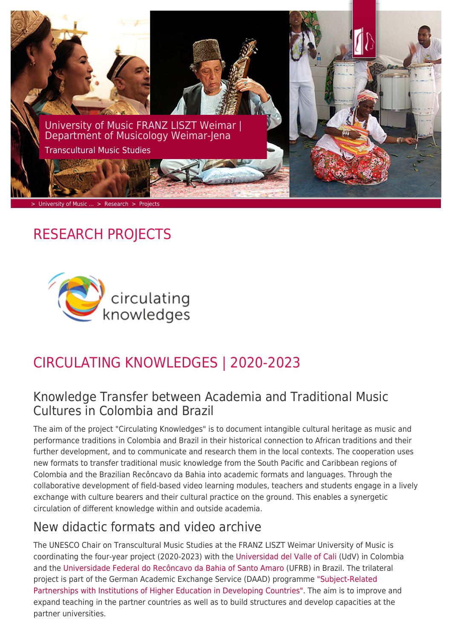

# RESEARCH PROJECTS



# CIRCULATING KNOWLEDGES | 2020-2023

### Knowledge Transfer between Academia and Traditional Music Cultures in Colombia and Brazil

The aim of the project "Circulating Knowledges" is to document intangible cultural heritage as music and performance traditions in Colombia and Brazil in their historical connection to African traditions and their further development, and to communicate and research them in the local contexts. The cooperation uses new formats to transfer traditional music knowledge from the South Pacific and Caribbean regions of Colombia and the Brazilian Recôncavo da Bahia into academic formats and languages. Through the collaborative development of field-based video learning modules, teachers and students engage in a lively exchange with culture bearers and their cultural practice on the ground. This enables a synergetic circulation of different knowledge within and outside academia.

## New didactic formats and video archive

The UNESCO Chair on Transcultural Music Studies at the FRANZ LISZT Weimar University of Music is coordinating the four-year project (2020-2023) with the [Universidad del Valle of Cali](http://musica.univalle.edu.co) (UdV) in Colombia and the [Universidade Federal do Recôncavo da Bahia of Santo Amaro](https://ufrb.edu.br/cecult) (UFRB) in Brazil. The trilateral project is part of the German Academic Exchange Service (DAAD) programme ["Subject-Related](https://www.daad.de/en/information-services-for-higher-education-institutions/further-information-on-daad-programmes/subject-related-partnerships-with-institutions-of-higher-education-developing-countries/) [Partnerships with Institutions of Higher Education in Developing Countries"](https://www.daad.de/en/information-services-for-higher-education-institutions/further-information-on-daad-programmes/subject-related-partnerships-with-institutions-of-higher-education-developing-countries/). The aim is to improve and expand teaching in the partner countries as well as to build structures and develop capacities at the partner universities.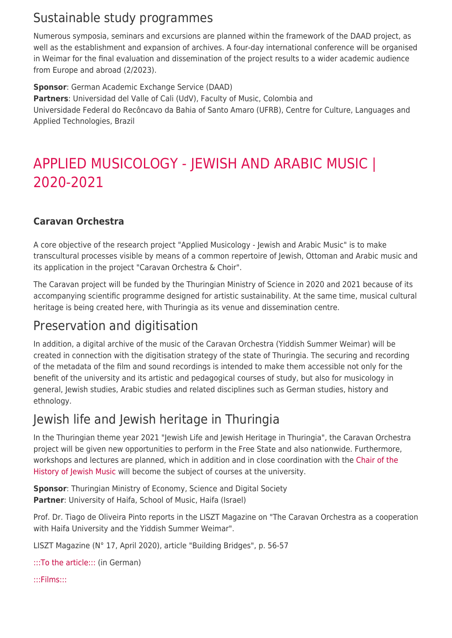## Sustainable study programmes

Numerous symposia, seminars and excursions are planned within the framework of the DAAD project, as well as the establishment and expansion of archives. A four-day international conference will be organised in Weimar for the final evaluation and dissemination of the project results to a wider academic audience from Europe and abroad (2/2023).

**Sponsor**: German Academic Exchange Service (DAAD) **Partners**: Universidad del Valle of Cali (UdV), Faculty of Music, Colombia and Universidade Federal do Recôncavo da Bahia of Santo Amaro (UFRB), Centre for Culture, Languages and Applied Technologies, Brazil

# APPLIED MUSICOLOGY - JEWISH AND ARABIC MUSIC | 2020-2021

#### **Caravan Orchestra**

A core objective of the research project "Applied Musicology - Jewish and Arabic Music" is to make transcultural processes visible by means of a common repertoire of Jewish, Ottoman and Arabic music and its application in the project "Caravan Orchestra & Choir".

The Caravan project will be funded by the Thuringian Ministry of Science in 2020 and 2021 because of its accompanying scientific programme designed for artistic sustainability. At the same time, musical cultural heritage is being created here, with Thuringia as its venue and dissemination centre.

### Preservation and digitisation

In addition, a digital archive of the music of the Caravan Orchestra (Yiddish Summer Weimar) will be created in connection with the digitisation strategy of the state of Thuringia. The securing and recording of the metadata of the film and sound recordings is intended to make them accessible not only for the benefit of the university and its artistic and pedagogical courses of study, but also for musicology in general, Jewish studies, Arabic studies and related disciplines such as German studies, history and ethnology.

## Jewish life and Jewish heritage in Thuringia

In the Thuringian theme year 2021 "Jewish Life and Jewish Heritage in Thuringia", the Caravan Orchestra project will be given new opportunities to perform in the Free State and also nationwide. Furthermore, workshops and lectures are planned, which in addition and in close coordination with the [Chair of the](https://www.hfm-weimar.de/geschichte-der-juedischen-musik/der-lehrstuhl/) [History of Jewish Music](https://www.hfm-weimar.de/geschichte-der-juedischen-musik/der-lehrstuhl/) will become the subject of courses at the university.

**Sponsor**: Thuringian Ministry of Economy, Science and Digital Society **Partner**: University of Haifa, School of Music, Haifa (Israel)

Prof. Dr. Tiago de Oliveira Pinto reports in the LISZT Magazine on "The Caravan Orchestra as a cooperation with Haifa University and the Yiddish Summer Weimar".

LISZT Magazine (N° 17, April 2020), article "Building Bridges", p. 56-57

[:::To the article:::](https://www.hfm-weimar.de/fileadmin/Musikwissenschaft/TMS/HfM_Weimar_LISZT_Magazin_No_17_2020_Caravan_Orchestra.pdf) (in German)

[:::Films:::](http://caravanorchestra.eu/video/)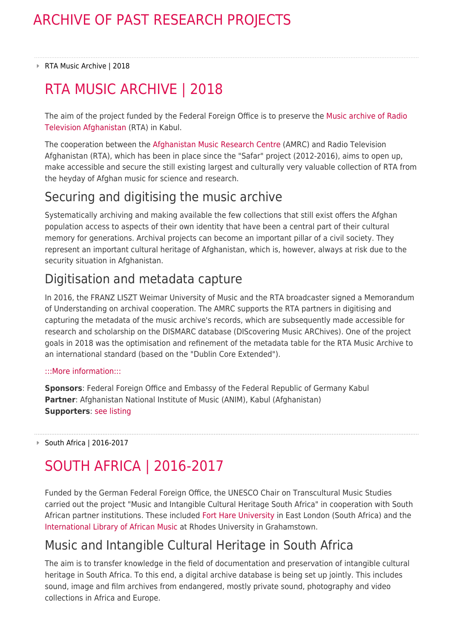#### ▶ RTA Music Archive | 2018

# RTA MUSIC ARCHIVE | 2018

The aim of the project funded by the Federal Foreign Office is to preserve the [Music archive of Radio](http://www.amrc-music.org/en/afghanistan-music-research-centre/archives/the-hoerburger-collection/) [Television Afghanistan](http://www.amrc-music.org/en/afghanistan-music-research-centre/archives/the-hoerburger-collection/) (RTA) in Kabul.

The cooperation between the [Afghanistan Music Research Centre](http://www.amrc-music.org/en/afghanistan-music-research-centre/) (AMRC) and Radio Television Afghanistan (RTA), which has been in place since the "Safar" project (2012-2016), aims to open up, make accessible and secure the still existing largest and culturally very valuable collection of RTA from the heyday of Afghan music for science and research.

### Securing and digitising the music archive

Systematically archiving and making available the few collections that still exist offers the Afghan population access to aspects of their own identity that have been a central part of their cultural memory for generations. Archival projects can become an important pillar of a civil society. They represent an important cultural heritage of Afghanistan, which is, however, always at risk due to the security situation in Afghanistan.

## Digitisation and metadata capture

In 2016, the FRANZ LISZT Weimar University of Music and the RTA broadcaster signed a Memorandum of Understanding on archival cooperation. The AMRC supports the RTA partners in digitising and capturing the metadata of the music archive's records, which are subsequently made accessible for research and scholarship on the DISMARC database (DIScovering Music ARChives). One of the project goals in 2018 was the optimisation and refinement of the metadata table for the RTA Music Archive to an international standard (based on the "Dublin Core Extended").

#### [:::More information:::](http://www.amrc-music.org/en/afghanistan-music-research-centre/archives/the-hoerburger-collection/)

**Sponsors**: Federal Foreign Office and Embassy of the Federal Republic of Germany Kabul **Partner**: Afghanistan National Institute of Music (ANIM), Kabul (Afghanistan) **Supporters**: [see listing](http://www.amrc-music.org/en/partners-supporters/)

■ South Africa | 2016-2017

# SOUTH AFRICA | 2016-2017

Funded by the German Federal Foreign Office, the UNESCO Chair on Transcultural Music Studies carried out the project "Music and Intangible Cultural Heritage South Africa" in cooperation with South African partner institutions. These included [Fort Hare University](http://www.ufh.ac.za/faculties/social-sciences/departments/music) in East London (South Africa) and the [International Library of African Music](https://www.ru.ac.za/ilam) at Rhodes University in Grahamstown.

## Music and Intangible Cultural Heritage in South Africa

The aim is to transfer knowledge in the field of documentation and preservation of intangible cultural heritage in South Africa. To this end, a digital archive database is being set up jointly. This includes sound, image and film archives from endangered, mostly private sound, photography and video collections in Africa and Europe.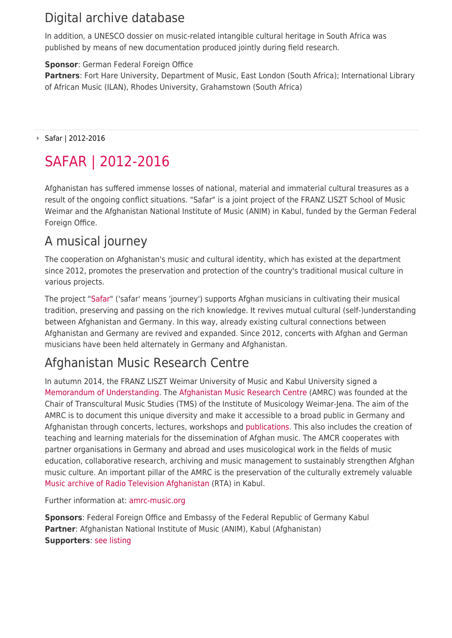## Digital archive database

In addition, a UNESCO dossier on music-related intangible cultural heritage in South Africa was published by means of new documentation produced jointly during field research.

#### **Sponsor**: German Federal Foreign Office

**Partners**: Fort Hare University, Department of Music, East London (South Africa); International Library of African Music (ILAN), Rhodes University, Grahamstown (South Africa)

Safar | 2012-2016

# SAFAR | 2012-2016

Afghanistan has suffered immense losses of national, material and immaterial cultural treasures as a result of the ongoing conflict situations. "Safar" is a joint project of the FRANZ LISZT School of Music Weimar and the Afghanistan National Institute of Music (ANIM) in Kabul, funded by the German Federal Foreign Office.

### A musical journey

The cooperation on Afghanistan's music and cultural identity, which has existed at the department since 2012, promotes the preservation and protection of the country's traditional musical culture in various projects.

The project ["Safar"](http://www.amrc-music.org/en/safar/) ('safar' means 'journey') supports Afghan musicians in cultivating their musical tradition, preserving and passing on the rich knowledge. It revives mutual cultural (self-)understanding between Afghanistan and Germany. In this way, already existing cultural connections between Afghanistan and Germany are revived and expanded. Since 2012, concerts with Afghan and German musicians have been held alternately in Germany and Afghanistan.

# Afghanistan Music Research Centre

In autumn 2014, the FRANZ LISZT Weimar University of Music and Kabul University signed a [Memorandum of Understanding.](http://www.amrc-music.org/en/afghanistan-music-research-centre/partners-in-education/partnership-agreements) The [Afghanistan Music Research Centre](http://www.amrc-music.org/en/afghanistan-music-research-centre/) (AMRC) was founded at the Chair of Transcultural Music Studies (TMS) of the Institute of Musicology Weimar-Jena. The aim of the AMRC is to document this unique diversity and make it accessible to a broad public in Germany and Afghanistan through concerts, lectures, workshops and [publications.](http://www.amrc-music.org/en/afghanistan-music-research-centre/research/publications) This also includes the creation of teaching and learning materials for the dissemination of Afghan music. The AMCR cooperates with partner organisations in Germany and abroad and uses musicological work in the fields of music education, collaborative research, archiving and music management to sustainably strengthen Afghan music culture. An important pillar of the AMRC is the preservation of the culturally extremely valuable [Music archive of Radio Television Afghanistan](http://www.amrc-music.org/en/afghanistan-music-research-centre/archives/the-hoerburger-collection/) (RTA) in Kabul.

Further information at: [amrc-music.org](http://www.amrc-music.org/en/home)

**Sponsors**: Federal Foreign Office and Embassy of the Federal Republic of Germany Kabul **Partner**: Afghanistan National Institute of Music (ANIM), Kabul (Afghanistan) **Supporters**: [see listing](http://www.amrc-music.org/en/partners-supporters/)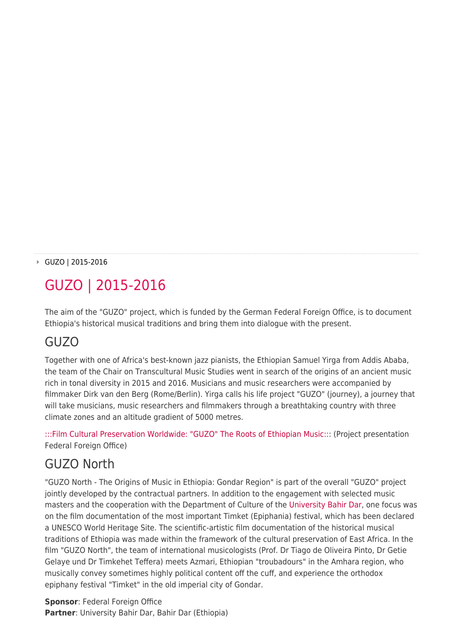#### GUZO | 2015-2016

# GUZO | 2015-2016

The aim of the "GUZO" project, which is funded by the German Federal Foreign Office, is to document Ethiopia's historical musical traditions and bring them into dialogue with the present.

### GUZO

Together with one of Africa's best-known jazz pianists, the Ethiopian Samuel Yirga from Addis Ababa, the team of the Chair on Transcultural Music Studies went in search of the origins of an ancient music rich in tonal diversity in 2015 and 2016. Musicians and music researchers were accompanied by filmmaker Dirk van den Berg (Rome/Berlin). Yirga calls his life project "GUZO" (journey), a journey that will take musicians, music researchers and filmmakers through a breathtaking country with three climate zones and an altitude gradient of 5000 metres.

[:::Film Cultural Preservation Worldwide: "GUZO" The Roots of Ethiopian Music::](https://www.youtube.com/watch?v=-1ITZQ8jRcA): (Project presentation Federal Foreign Office)

#### GUZO North

"GUZO North - The Origins of Music in Ethiopia: Gondar Region" is part of the overall "GUZO" project jointly developed by the contractual partners. In addition to the engagement with selected music masters and the cooperation with the Department of Culture of the [University Bahir Dar](https://bdu.edu.et), one focus was on the film documentation of the most important Timket (Epiphania) festival, which has been declared a UNESCO World Heritage Site. The scientific-artistic film documentation of the historical musical traditions of Ethiopia was made within the framework of the cultural preservation of East Africa. In the film "GUZO North", the team of international musicologists (Prof. Dr Tiago de Oliveira Pinto, Dr Getie Gelaye und Dr Timkehet Teffera) meets Azmari, Ethiopian "troubadours" in the Amhara region, who musically convey sometimes highly political content off the cuff, and experience the orthodox epiphany festival "Timket" in the old imperial city of Gondar.

**Sponsor**: Federal Foreign Office **Partner**: University Bahir Dar, Bahir Dar (Ethiopia)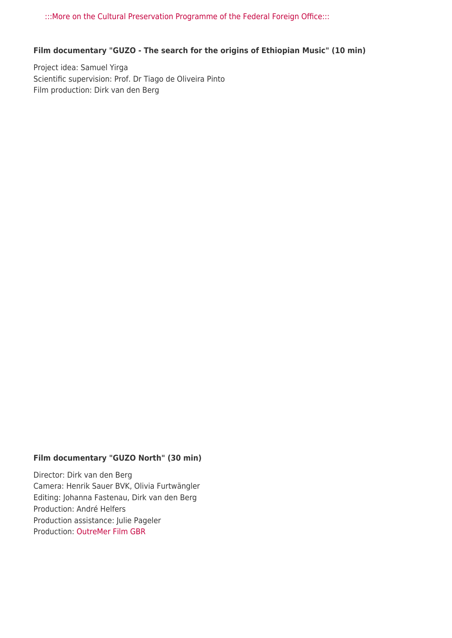[:::More on the Cultural Preservation Programme of the Federal Foreign Office:::](https://www.auswaertiges-amt.de/en/aussenpolitik/themen/kulturdialog/09-kulturerhalt)

#### **Film documentary "GUZO - The search for the origins of Ethiopian Music" (10 min)**

Project idea: Samuel Yirga Scientific supervision: Prof. Dr Tiago de Oliveira Pinto Film production: Dirk van den Berg

#### **Film documentary "GUZO North" (30 min)**

Director: Dirk van den Berg Camera: Henrik Sauer BVK, Olivia Furtwängler Editing: Johanna Fastenau, Dirk van den Berg Production: André Helfers Production assistance: Julie Pageler Production: [OutreMer Film GBR](https://www.outremerfilm.com)